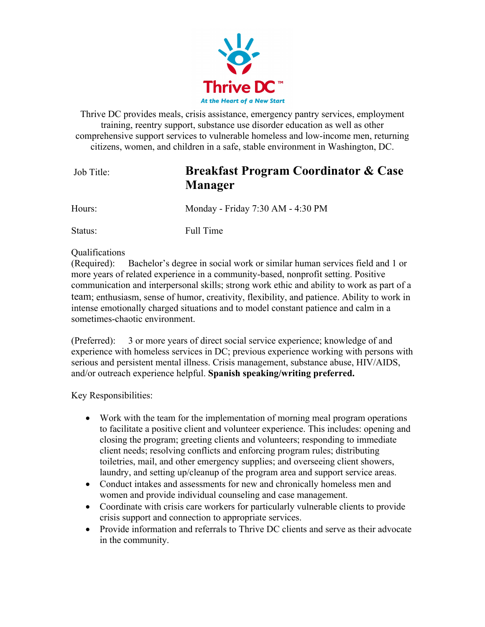

Thrive DC provides meals, crisis assistance, emergency pantry services, employment training, reentry support, substance use disorder education as well as other comprehensive support services to vulnerable homeless and low-income men, returning citizens, women, and children in a safe, stable environment in Washington, DC.

## Job Title: **Breakfast Program Coordinator & Case Manager**

Hours: Monday - Friday 7:30 AM - 4:30 PM

Status: Full Time

## Qualifications

(Required): Bachelor's degree in social work or similar human services field and 1 or more years of related experience in a community-based, nonprofit setting. Positive communication and interpersonal skills; strong work ethic and ability to work as part of a team; enthusiasm, sense of humor, creativity, flexibility, and patience. Ability to work in intense emotionally charged situations and to model constant patience and calm in a sometimes-chaotic environment.

(Preferred): 3 or more years of direct social service experience; knowledge of and experience with homeless services in DC; previous experience working with persons with serious and persistent mental illness. Crisis management, substance abuse, HIV/AIDS, and/or outreach experience helpful. **Spanish speaking/writing preferred.**

Key Responsibilities:

- Work with the team for the implementation of morning meal program operations to facilitate a positive client and volunteer experience. This includes: opening and closing the program; greeting clients and volunteers; responding to immediate client needs; resolving conflicts and enforcing program rules; distributing toiletries, mail, and other emergency supplies; and overseeing client showers, laundry, and setting up/cleanup of the program area and support service areas.
- Conduct intakes and assessments for new and chronically homeless men and women and provide individual counseling and case management.
- Coordinate with crisis care workers for particularly vulnerable clients to provide crisis support and connection to appropriate services.
- Provide information and referrals to Thrive DC clients and serve as their advocate in the community.